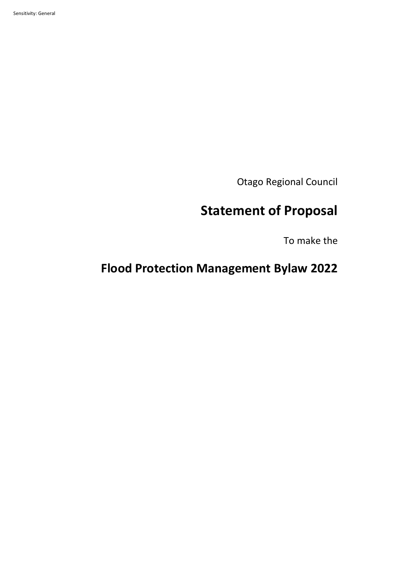Otago Regional Council

# **Statement of Proposal**

To make the

# **Flood Protection Management Bylaw 2022**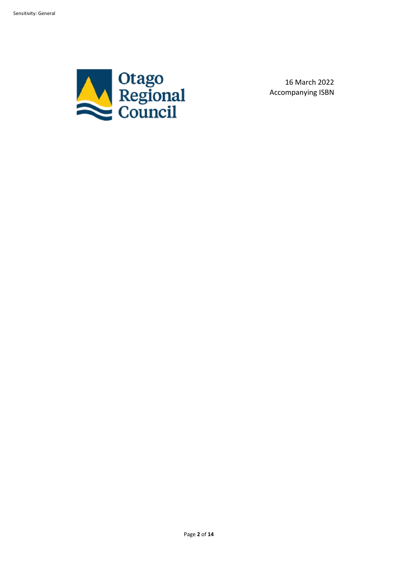

16 March 2022 Accompanying ISBN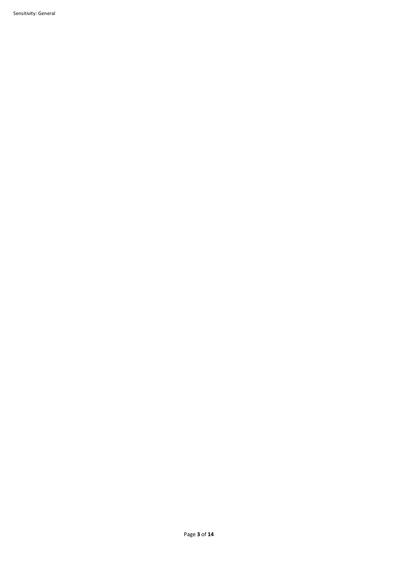Sensitivity: General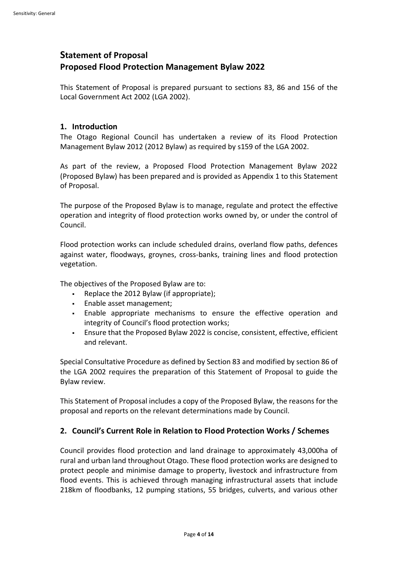# **Statement of Proposal Proposed Flood Protection Management Bylaw 2022**

This Statement of Proposal is prepared pursuant to sections 83, 86 and 156 of the Local Government Act 2002 (LGA 2002).

# **1. Introduction**

The Otago Regional Council has undertaken a review of its Flood Protection Management Bylaw 2012 (2012 Bylaw) as required by s159 of the LGA 2002.

As part of the review, a Proposed Flood Protection Management Bylaw 2022 (Proposed Bylaw) has been prepared and is provided as Appendix 1 to this Statement of Proposal.

The purpose of the Proposed Bylaw is to manage, regulate and protect the effective operation and integrity of flood protection works owned by, or under the control of Council.

Flood protection works can include scheduled drains, overland flow paths, defences against water, floodways, groynes, cross-banks, training lines and flood protection vegetation.

The objectives of the Proposed Bylaw are to:

- Replace the 2012 Bylaw (if appropriate);
- Enable asset management;
- Enable appropriate mechanisms to ensure the effective operation and integrity of Council's flood protection works;
- Ensure that the Proposed Bylaw 2022 is concise, consistent, effective, efficient and relevant.

Special Consultative Procedure as defined by Section 83 and modified by section 86 of the LGA 2002 requires the preparation of this Statement of Proposal to guide the Bylaw review.

This Statement of Proposal includes a copy of the Proposed Bylaw, the reasons for the proposal and reports on the relevant determinations made by Council.

## **2. Council's Current Role in Relation to Flood Protection Works / Schemes**

Council provides flood protection and land drainage to approximately 43,000ha of rural and urban land throughout Otago. These flood protection works are designed to protect people and minimise damage to property, livestock and infrastructure from flood events. This is achieved through managing infrastructural assets that include 218km of floodbanks, 12 pumping stations, 55 bridges, culverts, and various other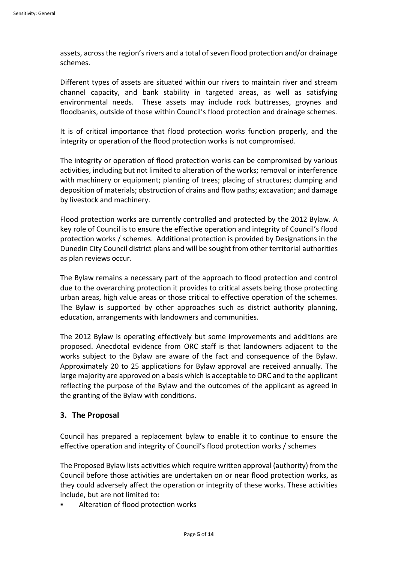assets, across the region's rivers and a total of seven flood protection and/or drainage schemes.

Different types of assets are situated within our rivers to maintain river and stream channel capacity, and bank stability in targeted areas, as well as satisfying environmental needs. These assets may include rock buttresses, groynes and floodbanks, outside of those within Council's flood protection and drainage schemes.

It is of critical importance that flood protection works function properly, and the integrity or operation of the flood protection works is not compromised.

The integrity or operation of flood protection works can be compromised by various activities, including but not limited to alteration of the works; removal or interference with machinery or equipment; planting of trees; placing of structures; dumping and deposition of materials; obstruction of drains and flow paths; excavation; and damage by livestock and machinery.

Flood protection works are currently controlled and protected by the 2012 Bylaw. A key role of Council is to ensure the effective operation and integrity of Council's flood protection works / schemes. Additional protection is provided by Designations in the Dunedin City Council district plans and will be sought from other territorial authorities as plan reviews occur.

The Bylaw remains a necessary part of the approach to flood protection and control due to the overarching protection it provides to critical assets being those protecting urban areas, high value areas or those critical to effective operation of the schemes. The Bylaw is supported by other approaches such as district authority planning, education, arrangements with landowners and communities.

The 2012 Bylaw is operating effectively but some improvements and additions are proposed. Anecdotal evidence from ORC staff is that landowners adjacent to the works subject to the Bylaw are aware of the fact and consequence of the Bylaw. Approximately 20 to 25 applications for Bylaw approval are received annually. The large majority are approved on a basis which is acceptable to ORC and to the applicant reflecting the purpose of the Bylaw and the outcomes of the applicant as agreed in the granting of the Bylaw with conditions.

## **3. The Proposal**

Council has prepared a replacement bylaw to enable it to continue to ensure the effective operation and integrity of Council's flood protection works / schemes

The Proposed Bylaw lists activities which require written approval (authority) from the Council before those activities are undertaken on or near flood protection works, as they could adversely affect the operation or integrity of these works. These activities include, but are not limited to:

Alteration of flood protection works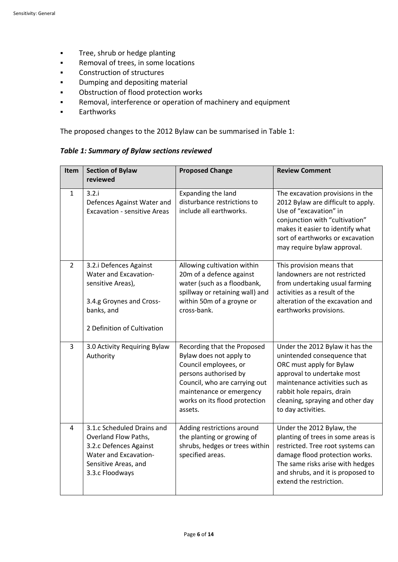- Tree, shrub or hedge planting
- Removal of trees, in some locations
- Construction of structures
- Dumping and depositing material
- Obstruction of flood protection works
- Removal, interference or operation of machinery and equipment
- Earthworks

The proposed changes to the 2012 Bylaw can be summarised in Table 1:

*Table 1: Summary of Bylaw sections reviewed*

| Item         | <b>Section of Bylaw</b>                                                                                                                          | <b>Proposed Change</b>                                                                                                                                                                                            | <b>Review Comment</b>                                                                                                                                                                                                                              |
|--------------|--------------------------------------------------------------------------------------------------------------------------------------------------|-------------------------------------------------------------------------------------------------------------------------------------------------------------------------------------------------------------------|----------------------------------------------------------------------------------------------------------------------------------------------------------------------------------------------------------------------------------------------------|
|              | reviewed                                                                                                                                         |                                                                                                                                                                                                                   |                                                                                                                                                                                                                                                    |
| $\mathbf{1}$ | 3.2.i<br>Defences Against Water and<br><b>Excavation - sensitive Areas</b>                                                                       | Expanding the land<br>disturbance restrictions to<br>include all earthworks.                                                                                                                                      | The excavation provisions in the<br>2012 Bylaw are difficult to apply.<br>Use of "excavation" in<br>conjunction with "cultivation"<br>makes it easier to identify what<br>sort of earthworks or excavation<br>may require bylaw approval.          |
| 2            | 3.2.i Defences Against<br>Water and Excavation-<br>sensitive Areas),<br>3.4.g Groynes and Cross-<br>banks, and<br>2 Definition of Cultivation    | Allowing cultivation within<br>20m of a defence against<br>water (such as a floodbank,<br>spillway or retaining wall) and<br>within 50m of a groyne or<br>cross-bank.                                             | This provision means that<br>landowners are not restricted<br>from undertaking usual farming<br>activities as a result of the<br>alteration of the excavation and<br>earthworks provisions.                                                        |
| 3            | 3.0 Activity Requiring Bylaw<br>Authority                                                                                                        | Recording that the Proposed<br>Bylaw does not apply to<br>Council employees, or<br>persons authorised by<br>Council, who are carrying out<br>maintenance or emergency<br>works on its flood protection<br>assets. | Under the 2012 Bylaw it has the<br>unintended consequence that<br>ORC must apply for Bylaw<br>approval to undertake most<br>maintenance activities such as<br>rabbit hole repairs, drain<br>cleaning, spraying and other day<br>to day activities. |
| 4            | 3.1.c Scheduled Drains and<br>Overland Flow Paths,<br>3.2.c Defences Against<br>Water and Excavation-<br>Sensitive Areas, and<br>3.3.c Floodways | Adding restrictions around<br>the planting or growing of<br>shrubs, hedges or trees within<br>specified areas.                                                                                                    | Under the 2012 Bylaw, the<br>planting of trees in some areas is<br>restricted. Tree root systems can<br>damage flood protection works.<br>The same risks arise with hedges<br>and shrubs, and it is proposed to<br>extend the restriction.         |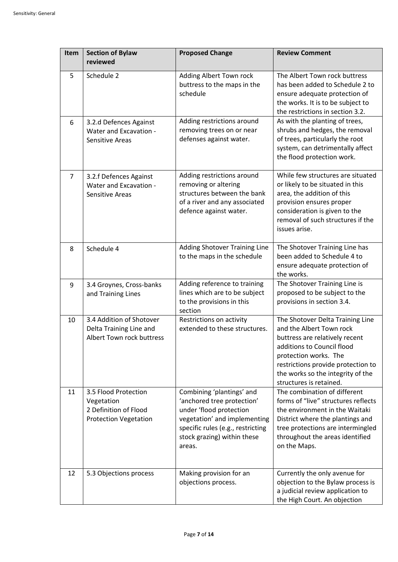| Item           | <b>Section of Bylaw</b><br>reviewed                                                         | <b>Proposed Change</b>                                                                                                                                                                           | <b>Review Comment</b>                                                                                                                                                                                                                                       |
|----------------|---------------------------------------------------------------------------------------------|--------------------------------------------------------------------------------------------------------------------------------------------------------------------------------------------------|-------------------------------------------------------------------------------------------------------------------------------------------------------------------------------------------------------------------------------------------------------------|
| 5              | Schedule 2                                                                                  | Adding Albert Town rock<br>buttress to the maps in the<br>schedule                                                                                                                               | The Albert Town rock buttress<br>has been added to Schedule 2 to<br>ensure adequate protection of<br>the works. It is to be subject to<br>the restrictions in section 3.2.                                                                                  |
| 6              | 3.2.d Defences Against<br>Water and Excavation -<br><b>Sensitive Areas</b>                  | Adding restrictions around<br>removing trees on or near<br>defenses against water.                                                                                                               | As with the planting of trees,<br>shrubs and hedges, the removal<br>of trees, particularly the root<br>system, can detrimentally affect<br>the flood protection work.                                                                                       |
| $\overline{7}$ | 3.2.f Defences Against<br>Water and Excavation -<br><b>Sensitive Areas</b>                  | Adding restrictions around<br>removing or altering<br>structures between the bank<br>of a river and any associated<br>defence against water.                                                     | While few structures are situated<br>or likely to be situated in this<br>area, the addition of this<br>provision ensures proper<br>consideration is given to the<br>removal of such structures if the<br>issues arise.                                      |
| 8              | Schedule 4                                                                                  | Adding Shotover Training Line<br>to the maps in the schedule                                                                                                                                     | The Shotover Training Line has<br>been added to Schedule 4 to<br>ensure adequate protection of<br>the works.                                                                                                                                                |
| 9              | 3.4 Groynes, Cross-banks<br>and Training Lines                                              | Adding reference to training<br>lines which are to be subject<br>to the provisions in this<br>section                                                                                            | The Shotover Training Line is<br>proposed to be subject to the<br>provisions in section 3.4.                                                                                                                                                                |
| 10             | 3.4 Addition of Shotover<br>Delta Training Line and<br>Albert Town rock buttress            | Restrictions on activity<br>extended to these structures.                                                                                                                                        | The Shotover Delta Training Line<br>and the Albert Town rock<br>buttress are relatively recent<br>additions to Council flood<br>protection works. The<br>restrictions provide protection to<br>the works so the integrity of the<br>structures is retained. |
| 11             | 3.5 Flood Protection<br>Vegetation<br>2 Definition of Flood<br><b>Protection Vegetation</b> | Combining 'plantings' and<br>'anchored tree protection'<br>under 'flood protection<br>vegetation' and implementing<br>specific rules (e.g., restricting<br>stock grazing) within these<br>areas. | The combination of different<br>forms of "live" structures reflects<br>the environment in the Waitaki<br>District where the plantings and<br>tree protections are intermingled<br>throughout the areas identified<br>on the Maps.                           |
| 12             | 5.3 Objections process                                                                      | Making provision for an<br>objections process.                                                                                                                                                   | Currently the only avenue for<br>objection to the Bylaw process is<br>a judicial review application to<br>the High Court. An objection                                                                                                                      |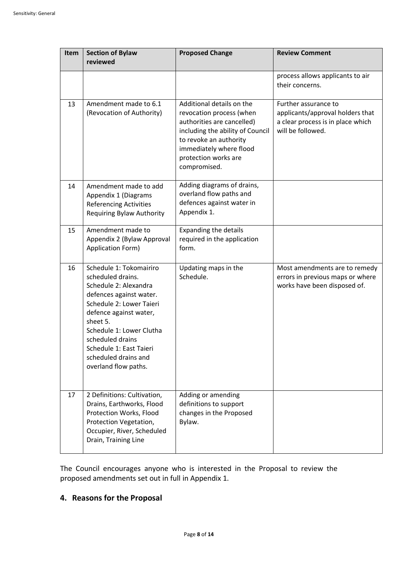| Item | <b>Section of Bylaw</b><br>reviewed                                                                                                                                                                                                                                                           | <b>Proposed Change</b>                                                                                                                                                                                               | <b>Review Comment</b>                                                                                              |
|------|-----------------------------------------------------------------------------------------------------------------------------------------------------------------------------------------------------------------------------------------------------------------------------------------------|----------------------------------------------------------------------------------------------------------------------------------------------------------------------------------------------------------------------|--------------------------------------------------------------------------------------------------------------------|
|      |                                                                                                                                                                                                                                                                                               |                                                                                                                                                                                                                      | process allows applicants to air<br>their concerns.                                                                |
| 13   | Amendment made to 6.1<br>(Revocation of Authority)                                                                                                                                                                                                                                            | Additional details on the<br>revocation process (when<br>authorities are cancelled)<br>including the ability of Council<br>to revoke an authority<br>immediately where flood<br>protection works are<br>compromised. | Further assurance to<br>applicants/approval holders that<br>a clear process is in place which<br>will be followed. |
| 14   | Amendment made to add<br>Appendix 1 (Diagrams<br><b>Referencing Activities</b><br><b>Requiring Bylaw Authority</b>                                                                                                                                                                            | Adding diagrams of drains,<br>overland flow paths and<br>defences against water in<br>Appendix 1.                                                                                                                    |                                                                                                                    |
| 15   | Amendment made to<br>Appendix 2 (Bylaw Approval<br>Application Form)                                                                                                                                                                                                                          | <b>Expanding the details</b><br>required in the application<br>form.                                                                                                                                                 |                                                                                                                    |
| 16   | Schedule 1: Tokomairiro<br>scheduled drains.<br>Schedule 2: Alexandra<br>defences against water.<br>Schedule 2: Lower Taieri<br>defence against water,<br>sheet 5.<br>Schedule 1: Lower Clutha<br>scheduled drains<br>Schedule 1: East Taieri<br>scheduled drains and<br>overland flow paths. | Updating maps in the<br>Schedule.                                                                                                                                                                                    | Most amendments are to remedy<br>errors in previous maps or where<br>works have been disposed of.                  |
| 17   | 2 Definitions: Cultivation,<br>Drains, Earthworks, Flood<br>Protection Works, Flood<br>Protection Vegetation,<br>Occupier, River, Scheduled<br>Drain, Training Line                                                                                                                           | Adding or amending<br>definitions to support<br>changes in the Proposed<br>Bylaw.                                                                                                                                    |                                                                                                                    |

The Council encourages anyone who is interested in the Proposal to review the proposed amendments set out in full in Appendix 1.

# **4. Reasons for the Proposal**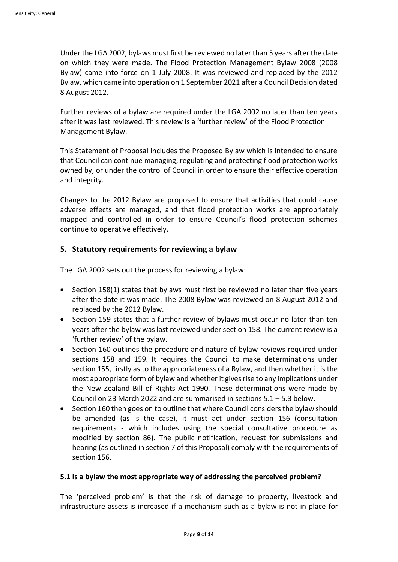Under the LGA 2002, bylaws must first be reviewed no later than 5 years after the date on which they were made. The Flood Protection Management Bylaw 2008 (2008 Bylaw) came into force on 1 July 2008. It was reviewed and replaced by the 2012 Bylaw, which came into operation on 1 September 2021 after a Council Decision dated 8 August 2012.

Further reviews of a bylaw are required under the LGA 2002 no later than ten years after it was last reviewed. This review is a 'further review' of the Flood Protection Management Bylaw.

This Statement of Proposal includes the Proposed Bylaw which is intended to ensure that Council can continue managing, regulating and protecting flood protection works owned by, or under the control of Council in order to ensure their effective operation and integrity.

Changes to the 2012 Bylaw are proposed to ensure that activities that could cause adverse effects are managed, and that flood protection works are appropriately mapped and controlled in order to ensure Council's flood protection schemes continue to operative effectively.

# **5. Statutory requirements for reviewing a bylaw**

The LGA 2002 sets out the process for reviewing a bylaw:

- Section 158(1) states that bylaws must first be reviewed no later than five years after the date it was made. The 2008 Bylaw was reviewed on 8 August 2012 and replaced by the 2012 Bylaw.
- Section 159 states that a further review of bylaws must occur no later than ten years after the bylaw was last reviewed under section 158. The current review is a 'further review' of the bylaw.
- Section 160 outlines the procedure and nature of bylaw reviews required under sections 158 and 159. It requires the Council to make determinations under section 155, firstly as to the appropriateness of a Bylaw, and then whether it is the most appropriate form of bylaw and whether it gives rise to any implications under the New Zealand Bill of Rights Act 1990. These determinations were made by Council on 23 March 2022 and are summarised in sections 5.1 – 5.3 below.
- Section 160 then goes on to outline that where Council considers the bylaw should be amended (as is the case), it must act under section 156 (consultation requirements - which includes using the special consultative procedure as modified by section 86). The public notification, request for submissions and hearing (as outlined in section 7 of this Proposal) comply with the requirements of section 156.

#### **5.1 Is a bylaw the most appropriate way of addressing the perceived problem?**

The 'perceived problem' is that the risk of damage to property, livestock and infrastructure assets is increased if a mechanism such as a bylaw is not in place for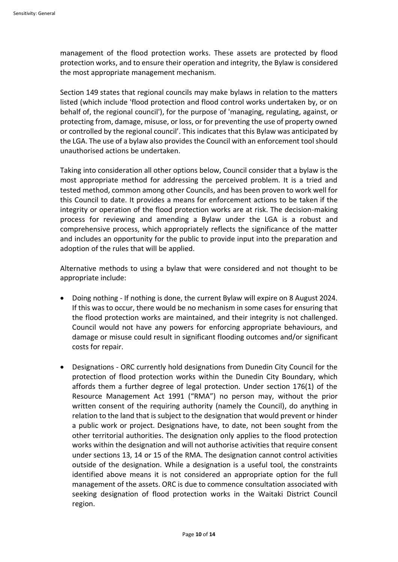management of the flood protection works. These assets are protected by flood protection works, and to ensure their operation and integrity, the Bylaw is considered the most appropriate management mechanism.

Section 149 states that regional councils may make bylaws in relation to the matters listed (which include 'flood protection and flood control works undertaken by, or on behalf of, the regional council'), for the purpose of 'managing, regulating, against, or protecting from, damage, misuse, or loss, or for preventing the use of property owned or controlled by the regional council'. This indicates that this Bylaw was anticipated by the LGA. The use of a bylaw also provides the Council with an enforcement tool should unauthorised actions be undertaken.

Taking into consideration all other options below, Council consider that a bylaw is the most appropriate method for addressing the perceived problem. It is a tried and tested method, common among other Councils, and has been proven to work well for this Council to date. It provides a means for enforcement actions to be taken if the integrity or operation of the flood protection works are at risk. The decision-making process for reviewing and amending a Bylaw under the LGA is a robust and comprehensive process, which appropriately reflects the significance of the matter and includes an opportunity for the public to provide input into the preparation and adoption of the rules that will be applied.

Alternative methods to using a bylaw that were considered and not thought to be appropriate include:

- Doing nothing If nothing is done, the current Bylaw will expire on 8 August 2024. If this was to occur, there would be no mechanism in some cases for ensuring that the flood protection works are maintained, and their integrity is not challenged. Council would not have any powers for enforcing appropriate behaviours, and damage or misuse could result in significant flooding outcomes and/or significant costs for repair.
- Designations ORC currently hold designations from Dunedin City Council for the protection of flood protection works within the Dunedin City Boundary, which affords them a further degree of legal protection. Under section 176(1) of the Resource Management Act 1991 ("RMA") no person may, without the prior written consent of the requiring authority (namely the Council), do anything in relation to the land that is subject to the designation that would prevent or hinder a public work or project. Designations have, to date, not been sought from the other territorial authorities. The designation only applies to the flood protection works within the designation and will not authorise activities that require consent under sections 13, 14 or 15 of the RMA. The designation cannot control activities outside of the designation. While a designation is a useful tool, the constraints identified above means it is not considered an appropriate option for the full management of the assets. ORC is due to commence consultation associated with seeking designation of flood protection works in the Waitaki District Council region.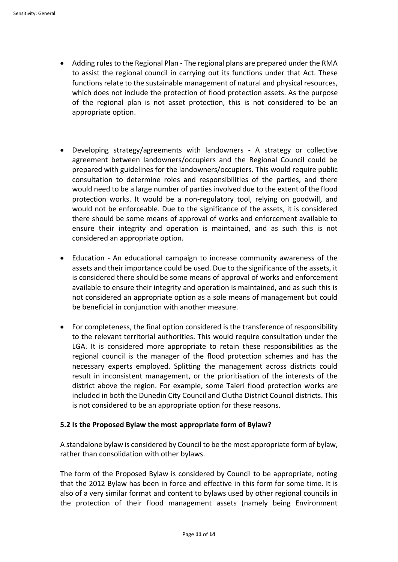- Adding rules to the Regional Plan The regional plans are prepared under the RMA to assist the regional council in carrying out its functions under that Act. These functions relate to the sustainable management of natural and physical resources, which does not include the protection of flood protection assets. As the purpose of the regional plan is not asset protection, this is not considered to be an appropriate option.
- Developing strategy/agreements with landowners A strategy or collective agreement between landowners/occupiers and the Regional Council could be prepared with guidelines for the landowners/occupiers. This would require public consultation to determine roles and responsibilities of the parties, and there would need to be a large number of parties involved due to the extent of the flood protection works. It would be a non-regulatory tool, relying on goodwill, and would not be enforceable. Due to the significance of the assets, it is considered there should be some means of approval of works and enforcement available to ensure their integrity and operation is maintained, and as such this is not considered an appropriate option.
- Education An educational campaign to increase community awareness of the assets and their importance could be used. Due to the significance of the assets, it is considered there should be some means of approval of works and enforcement available to ensure their integrity and operation is maintained, and as such this is not considered an appropriate option as a sole means of management but could be beneficial in conjunction with another measure.
- For completeness, the final option considered is the transference of responsibility to the relevant territorial authorities. This would require consultation under the LGA. It is considered more appropriate to retain these responsibilities as the regional council is the manager of the flood protection schemes and has the necessary experts employed. Splitting the management across districts could result in inconsistent management, or the prioritisation of the interests of the district above the region. For example, some Taieri flood protection works are included in both the Dunedin City Council and Clutha District Council districts. This is not considered to be an appropriate option for these reasons.

#### **5.2 Is the Proposed Bylaw the most appropriate form of Bylaw?**

A standalone bylaw is considered by Council to be the most appropriate form of bylaw, rather than consolidation with other bylaws.

The form of the Proposed Bylaw is considered by Council to be appropriate, noting that the 2012 Bylaw has been in force and effective in this form for some time. It is also of a very similar format and content to bylaws used by other regional councils in the protection of their flood management assets (namely being Environment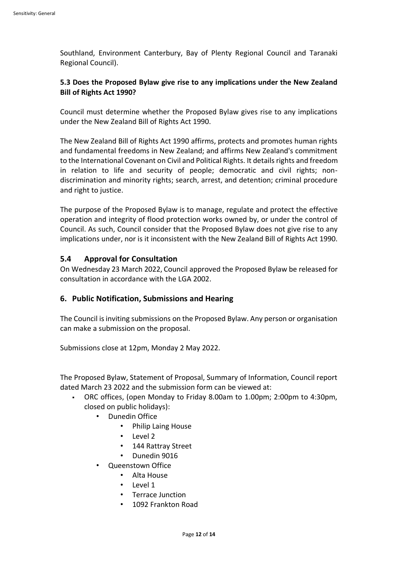Southland, Environment Canterbury, Bay of Plenty Regional Council and Taranaki Regional Council).

# **5.3 Does the Proposed Bylaw give rise to any implications under the New Zealand Bill of Rights Act 1990?**

Council must determine whether the Proposed Bylaw gives rise to any implications under the New Zealand Bill of Rights Act 1990.

The New Zealand Bill of Rights Act 1990 affirms, protects and promotes human rights and fundamental freedoms in New Zealand; and affirms New Zealand's commitment to the International Covenant on Civil and Political Rights. It details rights and freedom in relation to life and security of people; democratic and civil rights; nondiscrimination and minority rights; search, arrest, and detention; criminal procedure and right to justice.

The purpose of the Proposed Bylaw is to manage, regulate and protect the effective operation and integrity of flood protection works owned by, or under the control of Council. As such, Council consider that the Proposed Bylaw does not give rise to any implications under, nor is it inconsistent with the New Zealand Bill of Rights Act 1990.

# **5.4 Approval for Consultation**

On Wednesday 23 March 2022, Council approved the Proposed Bylaw be released for consultation in accordance with the LGA 2002.

# **6. Public Notification, Submissions and Hearing**

The Council is inviting submissions on the Proposed Bylaw. Any person or organisation can make a submission on the proposal.

Submissions close at 12pm, Monday 2 May 2022.

The Proposed Bylaw, Statement of Proposal, Summary of Information, Council report dated March 23 2022 and the submission form can be viewed at:

- ORC offices, (open Monday to Friday 8.00am to 1.00pm; 2:00pm to 4:30pm, closed on public holidays):
	- Dunedin Office
		- Philip Laing House
		- Level 2
		- 144 Rattray Street
		- Dunedin 9016
	- Queenstown Office
		- Alta House
		- Level 1
		- Terrace Junction
		- 1092 Frankton Road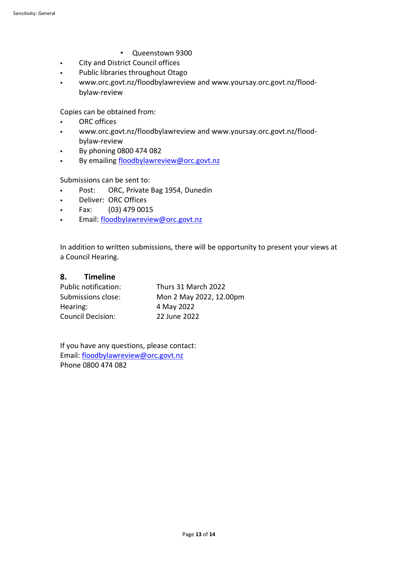- Queenstown 9300
- City and District Council offices
- Public libraries throughout Otago
- www.orc.govt.nz/floodbylawreview and www.yoursay.orc.govt.nz/floodbylaw-review

Copies can be obtained from:

- ORC offices
- www.orc.govt.nz/floodbylawreview and www.yoursay.orc.govt.nz/floodbylaw-review
- By phoning 0800 474 082
- **By emailing [floodbylawreview@orc.govt.nz](mailto:floodbylawreview@orc.govt.nz)**

Submissions can be sent to:

- Post: ORC, Private Bag 1954, Dunedin
- Deliver: ORC Offices
- Fax: (03) 479 0015
- **Email:** [floodbylawreview@orc.govt.nz](mailto:floodbylawreview@orc.govt.nz)

In addition to written submissions, there will be opportunity to present your views at a Council Hearing.

# **8. Timeline**

| Public notification:     | Thurs 31 March 2022     |
|--------------------------|-------------------------|
| Submissions close:       | Mon 2 May 2022, 12.00pm |
| Hearing:                 | 4 May 2022              |
| <b>Council Decision:</b> | 22 June 2022            |

If you have any questions, please contact: Email: [floodbylawreview@orc.govt.nz](mailto:floodbylawreview@orc.govt.nz) Phone 0800 474 082